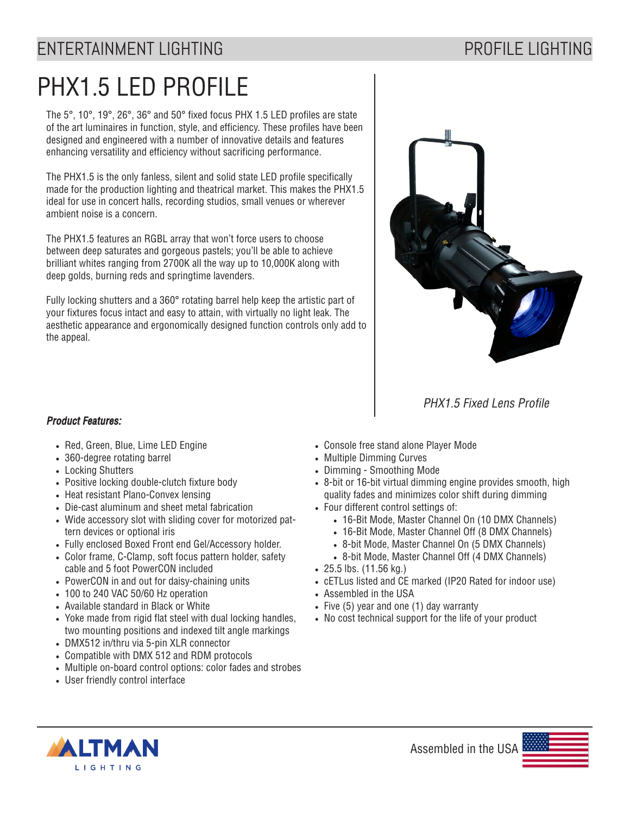## ENTERTAINMENT LIGHTING **ENTERTAINMENT LIGHTING**

# PHX1.5 LED PROFILE

The 5°, 10°, 19°, 26°, 36° and 50° fixed focus PHX 1.5 LED profiles are state of the art luminaires in function, style, and efficiency. These profiles have been designed and engineered with a number of innovative details and features enhancing versatility and efficiency without sacrificing performance.

The PHX1.5 is the only fanless, silent and solid state LED profile specifically made for the production lighting and theatrical market. This makes the PHX1.5 ideal for use in concert halls, recording studios, small venues or wherever ambient noise is a concern.

The PHX1.5 features an RGBL array that won't force users to choose between deep saturates and gorgeous pastels; you'll be able to achieve brilliant whites ranging from 2700K all the way up to 10,000K along with deep golds, burning reds and springtime lavenders.

Fully locking shutters and a 360° rotating barrel help keep the artistic part of your fixtures focus intact and easy to attain, with virtually no light leak. The aesthetic appearance and ergonomically designed function controls only add to the appeal.



PHX1.5 Fixed Lens Profile

#### Product Features:

- Red, Green, Blue, Lime LED Engine
- 360-degree rotating barrel
- Locking Shutters
- Positive locking double-clutch fixture body
- Heat resistant Plano-Convex lensing
- Die-cast aluminum and sheet metal fabrication
- Wide accessory slot with sliding cover for motorized pattern devices or optional iris
- Fully enclosed Boxed Front end Gel/Accessory holder.
- Color frame, C-Clamp, soft focus pattern holder, safety cable and 5 foot PowerCON included
- PowerCON in and out for daisy-chaining units
- 100 to 240 VAC 50/60 Hz operation
- Available standard in Black or White
- Yoke made from rigid flat steel with dual locking handles, two mounting positions and indexed tilt angle markings
- DMX512 in/thru via 5-pin XLR connector
- Compatible with DMX 512 and RDM protocols
- Multiple on-board control options: color fades and strobes
- User friendly control interface
- Console free stand alone Player Mode
- Multiple Dimming Curves
- Dimming Smoothing Mode
- 8-bit or 16-bit virtual dimming engine provides smooth, high quality fades and minimizes color shift during dimming
- Four different control settings of:
	- 16-Bit Mode, Master Channel On (10 DMX Channels)
	- 16-Bit Mode, Master Channel Off (8 DMX Channels)
	- 8-bit Mode, Master Channel On (5 DMX Channels)
	- 8-bit Mode, Master Channel Off (4 DMX Channels)
- 25.5 lbs. (11.56 kg.)
- cETLus listed and CE marked (IP20 Rated for indoor use)
- Assembled in the USA
- Five (5) year and one (1) day warranty
- No cost technical support for the life of your product



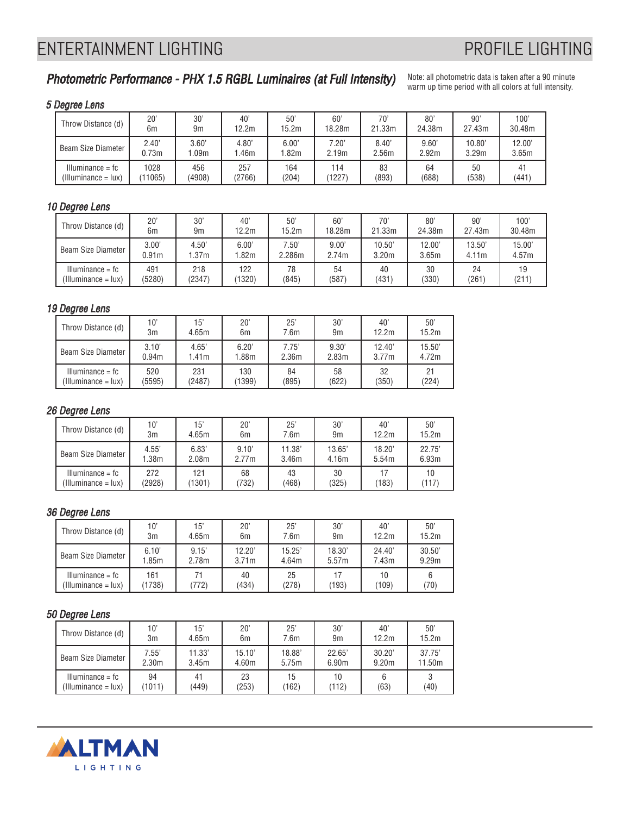## ENTERTAINMENT LIGHTING **ENTERTAINMENT LIGHTING**

### Photometric Performance - PHX 1.5 RGBL Luminaires (at Full Intensity)

Note: all photometric data is taken after a 90 minute warm up time period with all colors at full intensity.

#### 5 Degree Lens

| Throw Distance (d)       | 20      | 30'              | $40^{\circ}$   | 50'              | 60                | 70'    | 80 <sup>°</sup> | 90'    | 100'   |
|--------------------------|---------|------------------|----------------|------------------|-------------------|--------|-----------------|--------|--------|
|                          | 6m      | 9m               | 12.2m          | 15.2m            | 18.28m            | 21.33m | 24.38m          | 27.43m | 30.48m |
| Beam Size Diameter       | 2.40'   | 3.60'            | $4.80^{\circ}$ | 6.00'            | $7.20^\circ$      | 8.40'  | 9.60'           | 10.80  | 12.00' |
|                          | 0.73m   | .09 <sub>m</sub> | .46m           | .82 <sub>m</sub> | 2.19 <sub>m</sub> | 2.56m  | 2.92m           | 3.29m  | 3.65m  |
| $Illuminance = fc$       | 1028    | 456              | 257            | 164              | 114               | 83     | 64              | 50     | (441)  |
| $(III$ uminance = $lux)$ | (11065) | (4908)           | (2766)         | (204)            | 1227              | (893)  | (688)           | (538)  |        |

#### 10 Degree Lens

| Throw Distance (d)  | 20"               | 30'              | 40'              | 50'    | 60'    | 70'    | 80'    | 90'    | 100'   |
|---------------------|-------------------|------------------|------------------|--------|--------|--------|--------|--------|--------|
|                     | 6m                | 9m               | 12.2m            | 15.2m  | 18.28m | 21.33m | 24.38m | 27.43m | 30.48m |
| Beam Size Diameter  | 3.00'             | 4.50'            | 6.00'            | 7.50'  | 9.00'  | 10.50' | 12.00' | 13.50' | 15.00' |
|                     | 0.91 <sub>m</sub> | .37 <sub>m</sub> | .82 <sub>m</sub> | 2.286m | 2.74m  | 3.20m  | 3.65m  | 4.11m  | 4.57m  |
| $Illuminance = fc$  | 491               | 218              | 122              | 78     | 54     | 40     | 30     | 24     | 19     |
| (Illuminance = lux) | (5280)            | (2347)           | 1320)            | (845)  | (587)  | (431)  | (330)  | (261)  | (211)  |

#### 19 Degree Lens

| Throw Distance (d)           | 10'               | 15'    | $20^{\circ}$ | $25^{\circ}$ | 30'            | 40'    | 50'    |
|------------------------------|-------------------|--------|--------------|--------------|----------------|--------|--------|
|                              | 3m                | 4.65m  | 6m           | 7.6m         | 9 <sub>m</sub> | 12.2m  | 15.2m  |
| Beam Size Diameter           | 3.10'             | 4.65'  | 6.20'        | 7.75'        | 9.30'          | 12.40' | 15.50' |
|                              | 0.94 <sub>m</sub> | 1.41m  | 1.88m        | 2.36m        | 2.83m          | 3.77m  | 4.72m  |
| $Illuminance = fc$           | 520               | 231    | 130          | 84           | 58             | 32     | 21     |
| $(III$ uminance = $l$ ux $)$ | (5595)            | (2487) | 1399         | (895)        | (622)          | (350)  | (224)  |

#### 26 Degree Lens

| Throw Distance (d)       | 10'    | 15'               | $20^{\circ}$ | 25'    | 30'            | 40'    | 50'    |
|--------------------------|--------|-------------------|--------------|--------|----------------|--------|--------|
|                          | 3m     | 4.65m             | 6m           | 7.6m   | 9 <sub>m</sub> | 12.2m  | 15.2m  |
| Beam Size Diameter       | 4.55'  | 6.83'             | 9.10'        | 11.38' | 13.65          | 18.20' | 22.75' |
|                          | 1.38m  | 2.08 <sub>m</sub> | 2.77m        | 3.46m  | 4.16m          | 5.54m  | 6.93m  |
| $Illuminance = fc$       | 272    | 121               | 68           | 43     | 30             | (183)  | 10     |
| $(111$ uminance = $lux)$ | (2928) | (1301)            | (732)        | (468)  | (325)          |        | (117)  |

#### 36 Degree Lens

| Throw Distance (d)                                 | 10'           | 15'         | 20'               | 25'         | 30'    | 40'         | 50'    |
|----------------------------------------------------|---------------|-------------|-------------------|-------------|--------|-------------|--------|
|                                                    | 3m            | 4.65m       | 6m                | 7.6m        | 9m     | 12.2m       | 15.2m  |
| Beam Size Diameter                                 | 6.10'         | 9.15'       | 12.20'            | 15.25'      | 18.30' | 24.40'      | 30.50' |
|                                                    | 1.85m         | 2.78m       | 3.71 <sub>m</sub> | 4.64m       | 5.57m  | 7.43m       | 9.29m  |
| $Illuminance = fc$<br>$(III$ uminance = $l$ ux $)$ | 161<br>(1738) | 71<br>(772) | 40<br>(434)       | 25<br>(278) | (193)  | 10<br>(109) | (70)   |

#### 50 Degree Lens

| Throw Distance (d)                        | 10'               | 15'         | $20^{\circ}$ | 25'         | 30'            | 40'               | 50'    |
|-------------------------------------------|-------------------|-------------|--------------|-------------|----------------|-------------------|--------|
|                                           | 3m                | 4.65m       | 6m           | 7.6m        | 9 <sub>m</sub> | 12.2m             | 15.2m  |
| Beam Size Diameter                        | 7.55'             | 11.33'      | 15.10'       | 18.88'      | 22.65'         | 30.20'            | 37.75' |
|                                           | 2.30 <sub>m</sub> | 3.45m       | 4.60m        | 5.75m       | 6.90m          | 9.20 <sub>m</sub> | 11.50m |
| $Illuminance = fc$<br>(Illuminance = lux) | 94<br>(1011)      | 41<br>(449) | 23<br>(253)  | 15<br>(162) | 10<br>112)     | (63)              | (40)   |

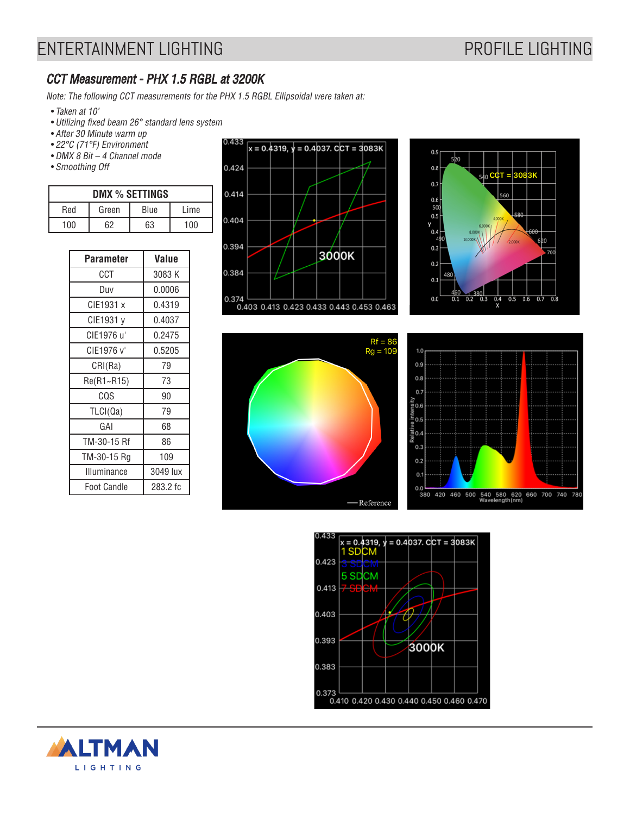### CCT Measurement - PHX 1.5 RGBL at 3200K

Note: The following CCT measurements for the PHX 1.5 RGBL Ellipsoidal were taken at:

- Taken at 10'
- Utilizing fixed beam 26° standard lens system
- After 30 Minute warm up
- 22°C (71°F) Environment
- DMX 8 Bit 4 Channel mode
- Smoothing Off

| DMX % SETTINGS |       |      |      |  |  |  |
|----------------|-------|------|------|--|--|--|
| Red            | Green | Blue | Lime |  |  |  |
| 100            | 62    | 63   | 100  |  |  |  |

| <b>Parameter</b>   | Value    |
|--------------------|----------|
| CCT                | 3083 K   |
| Duv                | 0.0006   |
| CIE1931 x          | 0.4319   |
| CIE1931 v          | 0.4037   |
| CIE1976 u'         | 0.2475   |
| CIE1976 v'         | 0.5205   |
| CRI(Ra)            | 79       |
| Re(R1~R15)         | 73       |
| CQS                | 90       |
| TLCI(Qa)           | 79       |
| GAI                | 68       |
| TM-30-15 Rf        | 86       |
| TM-30-15 Rg        | 109      |
| Illuminance        | 3049 lux |
| <b>Foot Candle</b> | 283.2 fc |











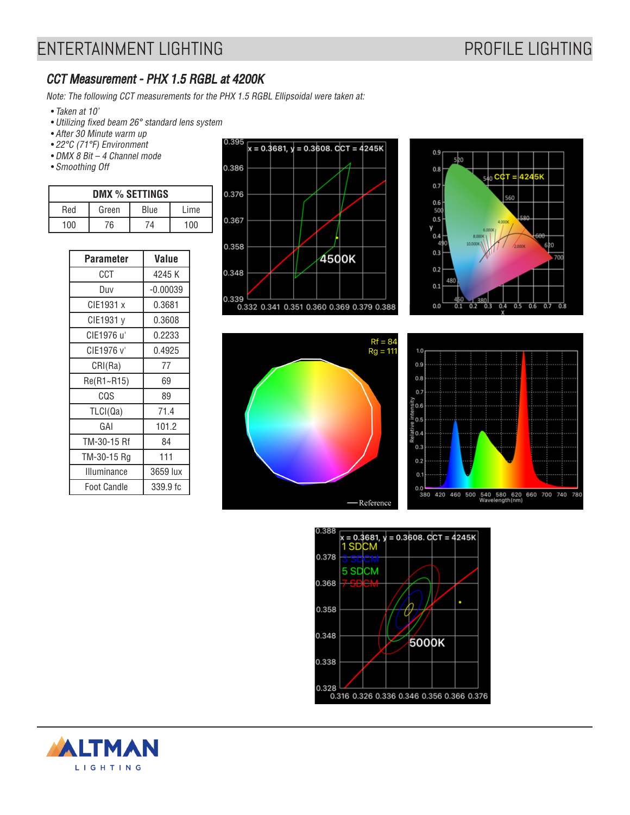### CCT Measurement - PHX 1.5 RGBL at 4200K

Note: The following CCT measurements for the PHX 1.5 RGBL Ellipsoidal were taken at:

- Taken at 10'
- Utilizing fixed beam 26° standard lens system
- After 30 Minute warm up
- 22°C (71°F) Environment
- DMX 8 Bit 4 Channel mode
- Smoothing Off

| DMX % SETTINGS |       |      |      |  |  |  |
|----------------|-------|------|------|--|--|--|
| Red            | Green | Blue | Lime |  |  |  |
| 100            | 76    | 74   | 100  |  |  |  |

| <b>Parameter</b>   | Value      |
|--------------------|------------|
| CCT                | 4245 K     |
| Duv                | $-0.00039$ |
| CIE1931 x          | 0.3681     |
| CIE1931 v          | 0.3608     |
| CIE1976 u'         | 0.2233     |
| CIE1976 v'         | 0.4925     |
| CRI(Ra)            | 77         |
| Re(R1~R15)         | 69         |
| CQS                | 89         |
| TLCI(Qa)           | 71.4       |
| GAI                | 101.2      |
| TM-30-15 Rf        | 84         |
| TM-30-15 Rg        | 111        |
| Illuminance        | 3659 lux   |
| <b>Foot Candle</b> | 339.9 fc   |